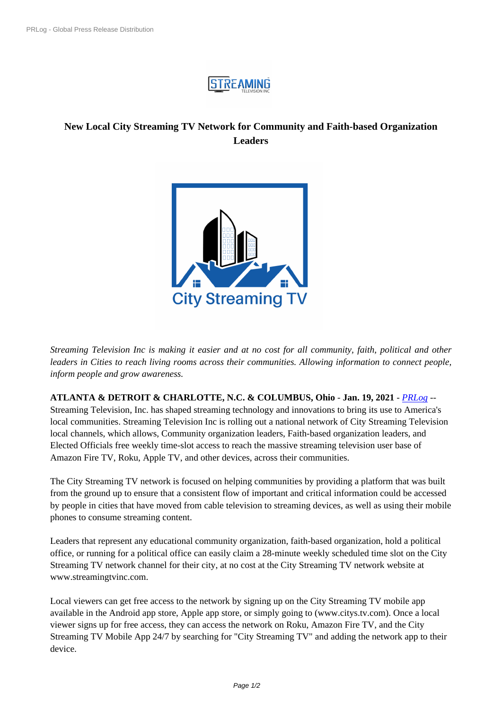

## **New Local City Streaming TV N[etwork for Com](https://biz.prlog.org/streamingtelevision/)munity and Faith-based Organization Leaders**



*Streaming Television Inc is [making it easier and at no cost for all com](https://www.prlog.org/12854436-city-streaming-tv-network.png)munity, faith, political and other leaders in Cities to reach living rooms across their communities. Allowing information to connect people, inform people and grow awareness.*

**ATLANTA & DETROIT & CHARLOTTE, N.C. & COLUMBUS, Ohio** - **Jan. 19, 2021** - *PRLog* -- Streaming Television, Inc. has shaped streaming technology and innovations to bring its use to America's

local communities. Streaming Television Inc is rolling out a national network of City Streaming Television local channels, which allows, Community organization leaders, Faith-based organization leaders, and Elected Officials free weekly time-slot access to reach the massive streaming television user b[ase of](https://www.prlog.org) Amazon Fire TV, Roku, Apple TV, and other devices, across their communities.

The City Streaming TV network is focused on helping communities by providing a platform that was built from the ground up to ensure that a consistent flow of important and critical information could be accessed by people in cities that have moved from cable television to streaming devices, as well as using their mobile phones to consume streaming content.

Leaders that represent any educational community organization, faith-based organization, hold a political office, or running for a political office can easily claim a 28-minute weekly scheduled time slot on the City Streaming TV network channel for their city, at no cost at the City Streaming TV network website at www.streamingtvinc.com.

Local viewers can get free access to the network by signing up on the City Streaming TV mobile app available in the Android app store, Apple app store, or simply going to (www.citys.tv.com). Once a local viewer signs up for free access, they can access the network on Roku, Amazon Fire TV, and the City Streaming TV Mobile App 24/7 by searching for "City Streaming TV" and adding the network app to their device.